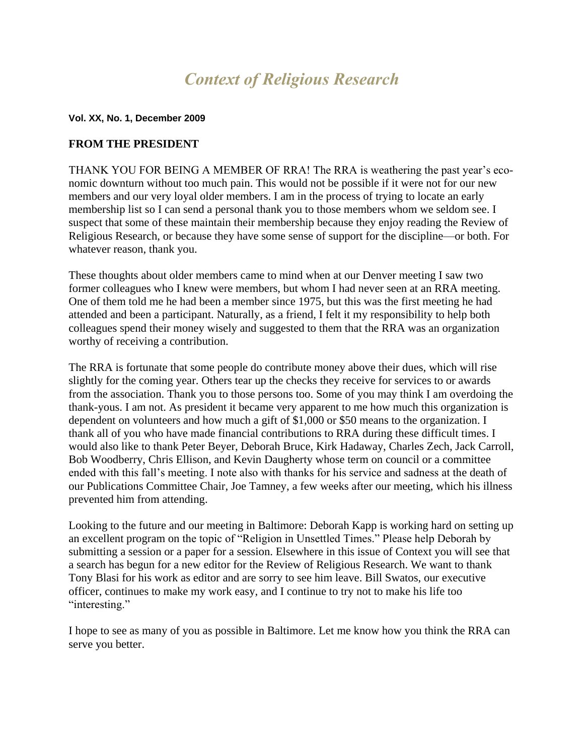# *Context of Religious Research*

#### **Vol. XX, No. 1, December 2009**

# **FROM THE PRESIDENT**

THANK YOU FOR BEING A MEMBER OF RRA! The RRA is weathering the past year's economic downturn without too much pain. This would not be possible if it were not for our new members and our very loyal older members. I am in the process of trying to locate an early membership list so I can send a personal thank you to those members whom we seldom see. I suspect that some of these maintain their membership because they enjoy reading the Review of Religious Research, or because they have some sense of support for the discipline—or both. For whatever reason, thank you.

These thoughts about older members came to mind when at our Denver meeting I saw two former colleagues who I knew were members, but whom I had never seen at an RRA meeting. One of them told me he had been a member since 1975, but this was the first meeting he had attended and been a participant. Naturally, as a friend, I felt it my responsibility to help both colleagues spend their money wisely and suggested to them that the RRA was an organization worthy of receiving a contribution.

The RRA is fortunate that some people do contribute money above their dues, which will rise slightly for the coming year. Others tear up the checks they receive for services to or awards from the association. Thank you to those persons too. Some of you may think I am overdoing the thank-yous. I am not. As president it became very apparent to me how much this organization is dependent on volunteers and how much a gift of \$1,000 or \$50 means to the organization. I thank all of you who have made financial contributions to RRA during these difficult times. I would also like to thank Peter Beyer, Deborah Bruce, Kirk Hadaway, Charles Zech, Jack Carroll, Bob Woodberry, Chris Ellison, and Kevin Daugherty whose term on council or a committee ended with this fall's meeting. I note also with thanks for his service and sadness at the death of our Publications Committee Chair, Joe Tamney, a few weeks after our meeting, which his illness prevented him from attending.

Looking to the future and our meeting in Baltimore: Deborah Kapp is working hard on setting up an excellent program on the topic of "Religion in Unsettled Times." Please help Deborah by submitting a session or a paper for a session. Elsewhere in this issue of Context you will see that a search has begun for a new editor for the Review of Religious Research. We want to thank Tony Blasi for his work as editor and are sorry to see him leave. Bill Swatos, our executive officer, continues to make my work easy, and I continue to try not to make his life too "interesting."

I hope to see as many of you as possible in Baltimore. Let me know how you think the RRA can serve you better.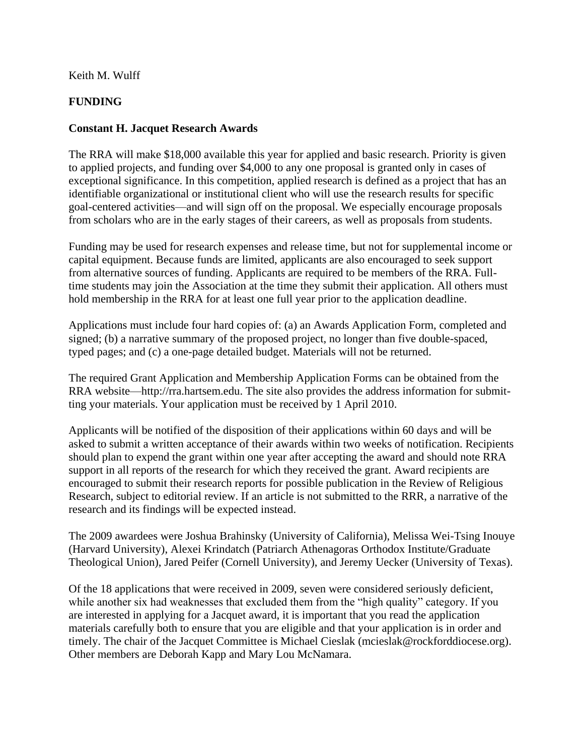## Keith M. Wulff

# **FUNDING**

## **Constant H. Jacquet Research Awards**

The RRA will make \$18,000 available this year for applied and basic research. Priority is given to applied projects, and funding over \$4,000 to any one proposal is granted only in cases of exceptional significance. In this competition, applied research is defined as a project that has an identifiable organizational or institutional client who will use the research results for specific goal-centered activities—and will sign off on the proposal. We especially encourage proposals from scholars who are in the early stages of their careers, as well as proposals from students.

Funding may be used for research expenses and release time, but not for supplemental income or capital equipment. Because funds are limited, applicants are also encouraged to seek support from alternative sources of funding. Applicants are required to be members of the RRA. Fulltime students may join the Association at the time they submit their application. All others must hold membership in the RRA for at least one full year prior to the application deadline.

Applications must include four hard copies of: (a) an Awards Application Form, completed and signed; (b) a narrative summary of the proposed project, no longer than five double-spaced, typed pages; and (c) a one-page detailed budget. Materials will not be returned.

The required Grant Application and Membership Application Forms can be obtained from the RRA website—http://rra.hartsem.edu. The site also provides the address information for submitting your materials. Your application must be received by 1 April 2010.

Applicants will be notified of the disposition of their applications within 60 days and will be asked to submit a written acceptance of their awards within two weeks of notification. Recipients should plan to expend the grant within one year after accepting the award and should note RRA support in all reports of the research for which they received the grant. Award recipients are encouraged to submit their research reports for possible publication in the Review of Religious Research, subject to editorial review. If an article is not submitted to the RRR, a narrative of the research and its findings will be expected instead.

The 2009 awardees were Joshua Brahinsky (University of California), Melissa Wei-Tsing Inouye (Harvard University), Alexei Krindatch (Patriarch Athenagoras Orthodox Institute/Graduate Theological Union), Jared Peifer (Cornell University), and Jeremy Uecker (University of Texas).

Of the 18 applications that were received in 2009, seven were considered seriously deficient, while another six had weaknesses that excluded them from the "high quality" category. If you are interested in applying for a Jacquet award, it is important that you read the application materials carefully both to ensure that you are eligible and that your application is in order and timely. The chair of the Jacquet Committee is Michael Cieslak (mcieslak@rockforddiocese.org). Other members are Deborah Kapp and Mary Lou McNamara.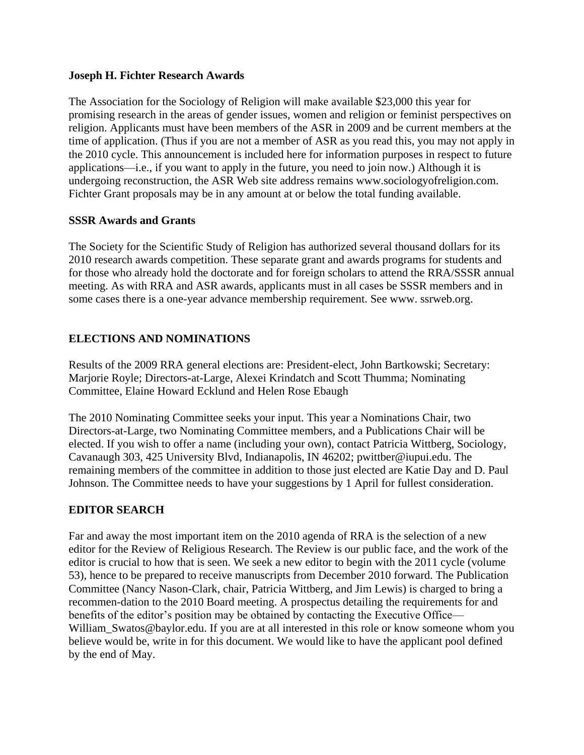#### **Joseph H. Fichter Research Awards**

The Association for the Sociology of Religion will make available \$23,000 this year for promising research in the areas of gender issues, women and religion or feminist perspectives on religion. Applicants must have been members of the ASR in 2009 and be current members at the time of application. (Thus if you are not a member of ASR as you read this, you may not apply in the 2010 cycle. This announcement is included here for information purposes in respect to future applications—i.e., if you want to apply in the future, you need to join now.) Although it is undergoing reconstruction, the ASR Web site address remains www.sociologyofreligion.com. Fichter Grant proposals may be in any amount at or below the total funding available.

# **SSSR Awards and Grants**

The Society for the Scientific Study of Religion has authorized several thousand dollars for its 2010 research awards competition. These separate grant and awards programs for students and for those who already hold the doctorate and for foreign scholars to attend the RRA/SSSR annual meeting. As with RRA and ASR awards, applicants must in all cases be SSSR members and in some cases there is a one-year advance membership requirement. See www. ssrweb.org.

# **ELECTIONS AND NOMINATIONS**

Results of the 2009 RRA general elections are: President-elect, John Bartkowski; Secretary: Marjorie Royle; Directors-at-Large, Alexei Krindatch and Scott Thumma; Nominating Committee, Elaine Howard Ecklund and Helen Rose Ebaugh

The 2010 Nominating Committee seeks your input. This year a Nominations Chair, two Directors-at-Large, two Nominating Committee members, and a Publications Chair will be elected. If you wish to offer a name (including your own), contact Patricia Wittberg, Sociology, Cavanaugh 303, 425 University Blvd, Indianapolis, IN 46202; pwittber@iupui.edu. The remaining members of the committee in addition to those just elected are Katie Day and D. Paul Johnson. The Committee needs to have your suggestions by 1 April for fullest consideration.

# **EDITOR SEARCH**

Far and away the most important item on the 2010 agenda of RRA is the selection of a new editor for the Review of Religious Research. The Review is our public face, and the work of the editor is crucial to how that is seen. We seek a new editor to begin with the 2011 cycle (volume 53), hence to be prepared to receive manuscripts from December 2010 forward. The Publication Committee (Nancy Nason-Clark, chair, Patricia Wittberg, and Jim Lewis) is charged to bring a recommen-dation to the 2010 Board meeting. A prospectus detailing the requirements for and benefits of the editor's position may be obtained by contacting the Executive Office— William Swatos@baylor.edu. If you are at all interested in this role or know someone whom you believe would be, write in for this document. We would like to have the applicant pool defined by the end of May.